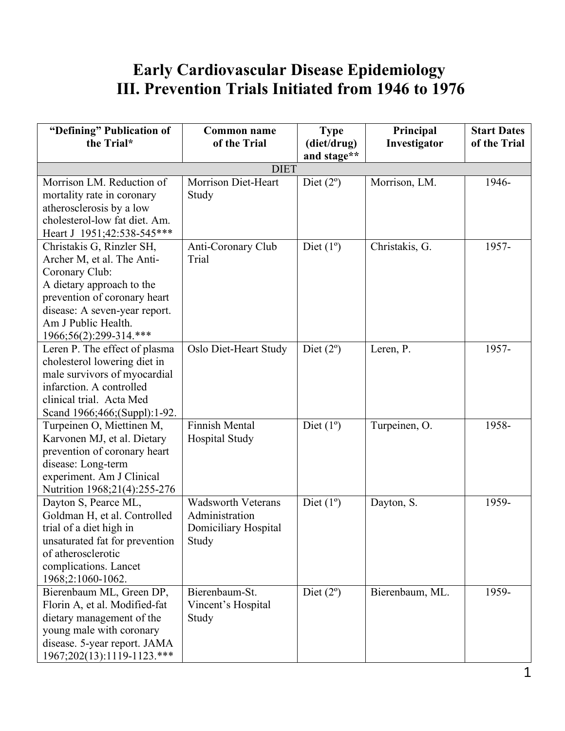## **Early Cardiovascular Disease Epidemiology III. Prevention Trials Initiated from 1946 to 1976**

| "Defining" Publication of<br>the Trial*                                                                                                                                                                                  | <b>Common name</b><br>of the Trial                                           | <b>Type</b><br>(diet/drug)<br>and stage** | Principal<br>Investigator | <b>Start Dates</b><br>of the Trial |
|--------------------------------------------------------------------------------------------------------------------------------------------------------------------------------------------------------------------------|------------------------------------------------------------------------------|-------------------------------------------|---------------------------|------------------------------------|
|                                                                                                                                                                                                                          | <b>DIET</b>                                                                  |                                           |                           |                                    |
| Morrison LM. Reduction of<br>mortality rate in coronary<br>atherosclerosis by a low<br>cholesterol-low fat diet. Am.<br>Heart J 1951;42:538-545***                                                                       | Morrison Diet-Heart<br>Study                                                 | Diet $(2^{\circ})$                        | Morrison, LM.             | 1946-                              |
| Christakis G, Rinzler SH,<br>Archer M, et al. The Anti-<br>Coronary Club:<br>A dietary approach to the<br>prevention of coronary heart<br>disease: A seven-year report.<br>Am J Public Health.<br>1966;56(2):299-314.*** | Anti-Coronary Club<br>Trial                                                  | Diet $(1^{\circ})$                        | Christakis, G.            | 1957-                              |
| Leren P. The effect of plasma<br>cholesterol lowering diet in<br>male survivors of myocardial<br>infarction. A controlled<br>clinical trial. Acta Med<br>Scand 1966;466;(Suppl):1-92.                                    | Oslo Diet-Heart Study                                                        | Diet $(2^{\circ})$                        | Leren, P.                 | 1957-                              |
| Turpeinen O, Miettinen M,<br>Karvonen MJ, et al. Dietary<br>prevention of coronary heart<br>disease: Long-term<br>experiment. Am J Clinical<br>Nutrition 1968;21(4):255-276                                              | <b>Finnish Mental</b><br><b>Hospital Study</b>                               | Diet $(1^{\circ})$                        | Turpeinen, O.             | 1958-                              |
| Dayton S, Pearce ML,<br>Goldman H, et al. Controlled<br>trial of a diet high in<br>unsaturated fat for prevention<br>of atherosclerotic<br>complications. Lancet<br>1968;2:1060-1062.                                    | <b>Wadsworth Veterans</b><br>Administration<br>Domiciliary Hospital<br>Study | Diet $(1^{\circ})$                        | Dayton, S.                | 1959-                              |
| Bierenbaum ML, Green DP,<br>Florin A, et al. Modified-fat<br>dietary management of the<br>young male with coronary<br>disease. 5-year report. JAMA<br>1967;202(13):1119-1123.***                                         | Bierenbaum-St.<br>Vincent's Hospital<br>Study                                | Diet $(2^{\circ})$                        | Bierenbaum, ML.           | 1959-                              |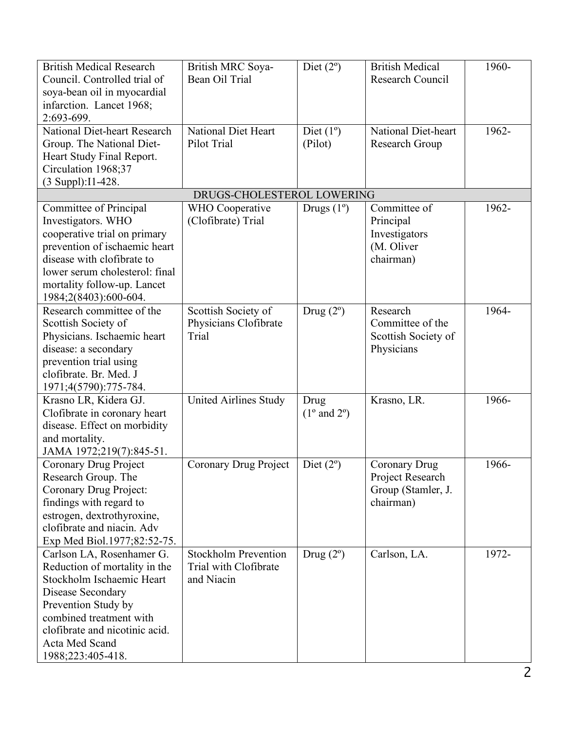| <b>British Medical Research</b><br>Council. Controlled trial of<br>soya-bean oil in myocardial<br>infarction. Lancet 1968;                                                                                                              | British MRC Soya-<br>Bean Oil Trial                                | Diet $(2^{\circ})$                    | <b>British Medical</b><br><b>Research Council</b>                           | 1960- |
|-----------------------------------------------------------------------------------------------------------------------------------------------------------------------------------------------------------------------------------------|--------------------------------------------------------------------|---------------------------------------|-----------------------------------------------------------------------------|-------|
| 2:693-699.<br>National Diet-heart Research<br>Group. The National Diet-<br>Heart Study Final Report.<br>Circulation 1968;37                                                                                                             | <b>National Diet Heart</b><br>Pilot Trial                          | Diet $(1^{\circ})$<br>(Pilot)         | <b>National Diet-heart</b><br>Research Group                                | 1962- |
| (3 Suppl): I1-428.                                                                                                                                                                                                                      | DRUGS-CHOLESTEROL LOWERING                                         |                                       |                                                                             |       |
| Committee of Principal<br>Investigators. WHO<br>cooperative trial on primary<br>prevention of ischaemic heart<br>disease with clofibrate to<br>lower serum cholesterol: final<br>mortality follow-up. Lancet<br>1984;2(8403):600-604.   | WHO Cooperative<br>(Clofibrate) Trial                              | Drugs $(1^{\circ})$                   | Committee of<br>Principal<br>Investigators<br>(M. Oliver<br>chairman)       | 1962- |
| Research committee of the<br>Scottish Society of<br>Physicians. Ischaemic heart<br>disease: a secondary<br>prevention trial using<br>clofibrate. Br. Med. J<br>1971;4(5790):775-784.                                                    | Scottish Society of<br>Physicians Clofibrate<br>Trial              | Drug $(2^{\circ})$                    | Research<br>Committee of the<br>Scottish Society of<br>Physicians           | 1964- |
| Krasno LR, Kidera GJ.<br>Clofibrate in coronary heart<br>disease. Effect on morbidity<br>and mortality.<br>JAMA 1972;219(7):845-51.                                                                                                     | <b>United Airlines Study</b>                                       | Drug<br>$(1^{\circ}$ and $2^{\circ})$ | Krasno, LR.                                                                 | 1966- |
| Coronary Drug Project<br>Research Group. The<br>Coronary Drug Project:<br>findings with regard to<br>estrogen, dextrothyroxine,<br>clofibrate and niacin. Adv<br>Exp Med Biol.1977;82:52-75.                                            | Coronary Drug Project                                              | Diet $(2^{\circ})$                    | <b>Coronary Drug</b><br>Project Research<br>Group (Stamler, J.<br>chairman) | 1966- |
| Carlson LA, Rosenhamer G.<br>Reduction of mortality in the<br>Stockholm Ischaemic Heart<br>Disease Secondary<br>Prevention Study by<br>combined treatment with<br>clofibrate and nicotinic acid.<br>Acta Med Scand<br>1988;223:405-418. | <b>Stockholm Prevention</b><br>Trial with Clofibrate<br>and Niacin | Drug $(2^{\circ})$                    | Carlson, LA.                                                                | 1972- |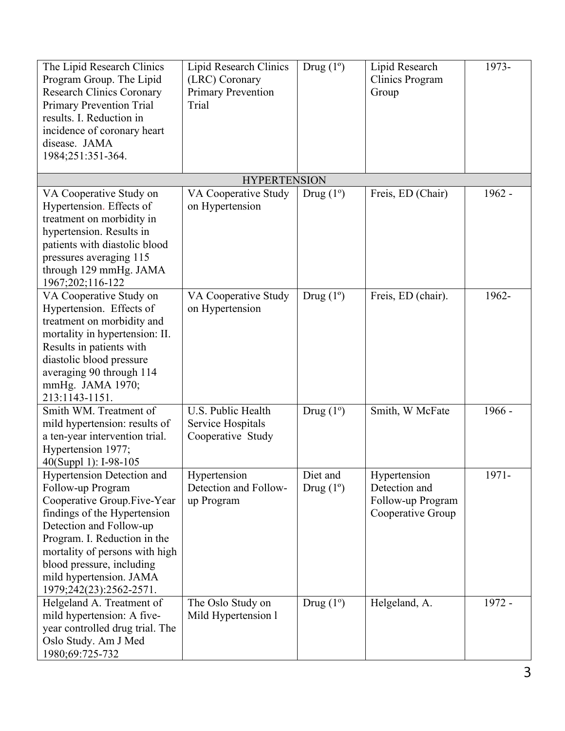| The Lipid Research Clinics<br>Program Group. The Lipid<br><b>Research Clinics Coronary</b><br><b>Primary Prevention Trial</b><br>results. I. Reduction in<br>incidence of coronary heart<br>disease. JAMA<br>1984;251:351-364.                                                                        | Lipid Research Clinics<br>(LRC) Coronary<br><b>Primary Prevention</b><br>Trial | Drug $(1^{\circ})$             | Lipid Research<br>Clinics Program<br>Group                              | 1973-    |
|-------------------------------------------------------------------------------------------------------------------------------------------------------------------------------------------------------------------------------------------------------------------------------------------------------|--------------------------------------------------------------------------------|--------------------------------|-------------------------------------------------------------------------|----------|
|                                                                                                                                                                                                                                                                                                       | <b>HYPERTENSION</b>                                                            |                                |                                                                         |          |
| VA Cooperative Study on<br>Hypertension. Effects of<br>treatment on morbidity in<br>hypertension. Results in<br>patients with diastolic blood<br>pressures averaging 115<br>through 129 mmHg. JAMA<br>1967;202;116-122                                                                                | VA Cooperative Study<br>on Hypertension                                        | Drug $(1^{\circ})$             | Freis, ED (Chair)                                                       | 1962 -   |
| VA Cooperative Study on<br>Hypertension. Effects of<br>treatment on morbidity and<br>mortality in hypertension: II.<br>Results in patients with<br>diastolic blood pressure<br>averaging 90 through 114<br>mmHg. JAMA 1970;<br>213:1143-1151.                                                         | VA Cooperative Study<br>on Hypertension                                        | Drug $(1^{\circ})$             | Freis, ED (chair).                                                      | 1962-    |
| Smith WM. Treatment of<br>mild hypertension: results of<br>a ten-year intervention trial.<br>Hypertension 1977;<br>40(Suppl 1): I-98-105                                                                                                                                                              | U.S. Public Health<br>Service Hospitals<br>Cooperative Study                   | Drug $(1^{\circ})$             | Smith, W McFate                                                         | $1966 -$ |
| <b>Hypertension Detection and</b><br>Follow-up Program<br>Cooperative Group.Five-Year<br>findings of the Hypertension<br>Detection and Follow-up<br>Program. I. Reduction in the<br>mortality of persons with high<br>blood pressure, including<br>mild hypertension. JAMA<br>1979;242(23):2562-2571. | Hypertension<br>Detection and Follow-<br>up Program                            | Diet and<br>Drug $(1^{\circ})$ | Hypertension<br>Detection and<br>Follow-up Program<br>Cooperative Group | 1971-    |
| Helgeland A. Treatment of<br>mild hypertension: A five-<br>year controlled drug trial. The<br>Oslo Study. Am J Med<br>1980;69:725-732                                                                                                                                                                 | The Oslo Study on<br>Mild Hypertension 1                                       | Drug $(1^{\circ})$             | Helgeland, A.                                                           | 1972 -   |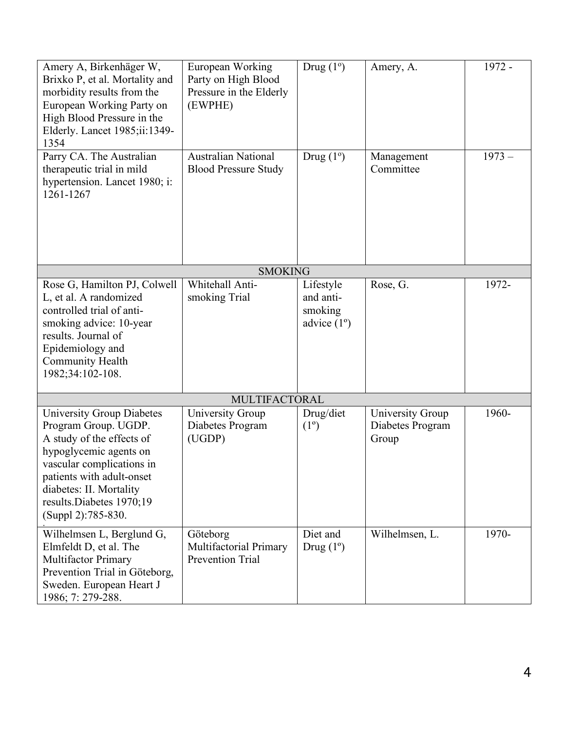| Amery A, Birkenhäger W,<br>Brixko P, et al. Mortality and<br>morbidity results from the<br>European Working Party on<br>High Blood Pressure in the<br>Elderly. Lancet 1985;ii:1349-<br>1354                                                            | European Working<br>Party on High Blood<br>Pressure in the Elderly<br>(EWPHE) | Drug $(1^{\circ})$                                        | Amery, A.                                            | 1972 -   |
|--------------------------------------------------------------------------------------------------------------------------------------------------------------------------------------------------------------------------------------------------------|-------------------------------------------------------------------------------|-----------------------------------------------------------|------------------------------------------------------|----------|
| Parry CA. The Australian<br>therapeutic trial in mild<br>hypertension. Lancet 1980; i:<br>1261-1267                                                                                                                                                    | <b>Australian National</b><br><b>Blood Pressure Study</b>                     | Drug $(1^{\circ})$                                        | Management<br>Committee                              | $1973 -$ |
|                                                                                                                                                                                                                                                        | <b>SMOKING</b>                                                                |                                                           |                                                      |          |
| Rose G, Hamilton PJ, Colwell<br>L, et al. A randomized<br>controlled trial of anti-<br>smoking advice: 10-year<br>results. Journal of<br>Epidemiology and<br>Community Health<br>1982;34:102-108.                                                      | Whitehall Anti-<br>smoking Trial                                              | Lifestyle<br>and anti-<br>smoking<br>advice $(1^{\circ})$ | Rose, G.                                             | 1972-    |
| MULTIFACTORAL                                                                                                                                                                                                                                          |                                                                               |                                                           |                                                      |          |
| <b>University Group Diabetes</b><br>Program Group. UGDP.<br>A study of the effects of<br>hypoglycemic agents on<br>vascular complications in<br>patients with adult-onset<br>diabetes: II. Mortality<br>results.Diabetes 1970;19<br>(Suppl 2):785-830. | <b>University Group</b><br>Diabetes Program<br>(UGDP)                         | Drug/diet<br>$(1^{\circ})$                                | <b>University Group</b><br>Diabetes Program<br>Group | 1960-    |
| Wilhelmsen L, Berglund G,<br>Elmfeldt D, et al. The<br>Multifactor Primary<br>Prevention Trial in Göteborg,<br>Sweden. European Heart J<br>1986; 7: 279-288.                                                                                           | Göteborg<br>Multifactorial Primary<br>Prevention Trial                        | Diet and<br>Drug $(1^{\circ})$                            | Wilhelmsen, L.                                       | 1970-    |